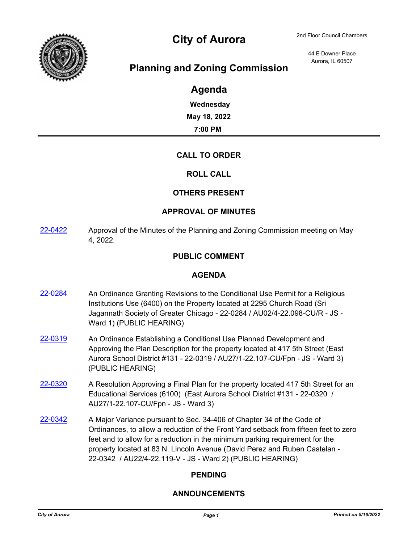

# City of Aurora 2nd Floor Council Chambers

44 E Downer Place Aurora, IL 60507

# **Planning and Zoning Commission**

# **Agenda**

**Wednesday May 18, 2022 7:00 PM**

## **CALL TO ORDER**

#### **ROLL CALL**

#### **OTHERS PRESENT**

#### **APPROVAL OF MINUTES**

[22-0422](http://aurora-il.legistar.com/gateway.aspx?m=l&id=/matter.aspx?key=11511) Approval of the Minutes of the Planning and Zoning Commission meeting on May 4, 2022.

#### **PUBLIC COMMENT**

#### **AGENDA**

- [22-0284](http://aurora-il.legistar.com/gateway.aspx?m=l&id=/matter.aspx?key=11373) An Ordinance Granting Revisions to the Conditional Use Permit for a Religious Institutions Use (6400) on the Property located at 2295 Church Road (Sri Jagannath Society of Greater Chicago - 22-0284 / AU02/4-22.098-CU/R - JS - Ward 1) (PUBLIC HEARING)
- [22-0319](http://aurora-il.legistar.com/gateway.aspx?m=l&id=/matter.aspx?key=11408) An Ordinance Establishing a Conditional Use Planned Development and Approving the Plan Description for the property located at 417 5th Street (East Aurora School District #131 - 22-0319 / AU27/1-22.107-CU/Fpn - JS - Ward 3) (PUBLIC HEARING)
- [22-0320](http://aurora-il.legistar.com/gateway.aspx?m=l&id=/matter.aspx?key=11409) A Resolution Approving a Final Plan for the property located 417 5th Street for an Educational Services (6100) (East Aurora School District #131 - 22-0320 / AU27/1-22.107-CU/Fpn - JS - Ward 3)
- [22-0342](http://aurora-il.legistar.com/gateway.aspx?m=l&id=/matter.aspx?key=11431) A Major Variance pursuant to Sec. 34-406 of Chapter 34 of the Code of Ordinances, to allow a reduction of the Front Yard setback from fifteen feet to zero feet and to allow for a reduction in the minimum parking requirement for the property located at 83 N. Lincoln Avenue (David Perez and Ruben Castelan - 22-0342 / AU22/4-22.119-V - JS - Ward 2) (PUBLIC HEARING)

## **PENDING**

#### **ANNOUNCEMENTS**